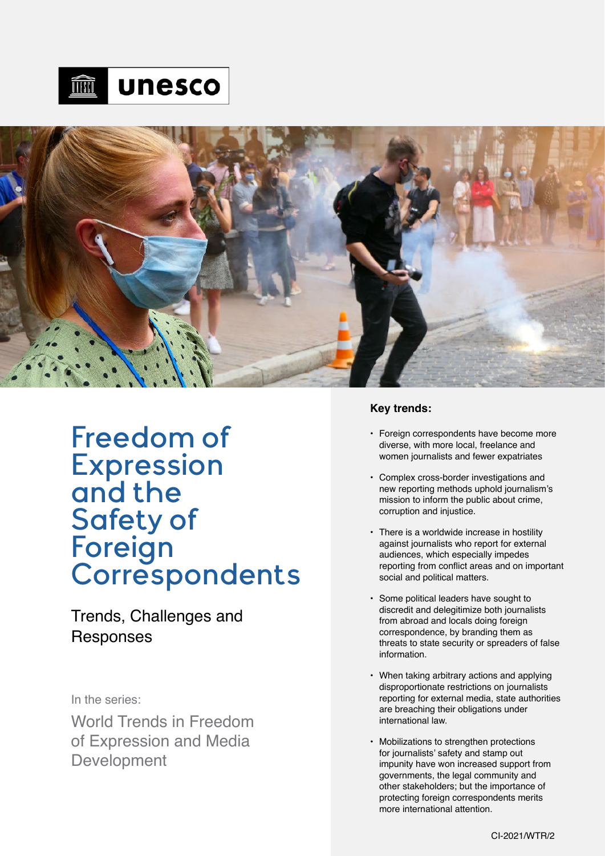



# Freedom of Expression and the Safety of Foreign **Correspondents**

Trends, Challenges and Responses

# In the series:

World Trends in Freedom of Expression and Media Development

### **Key trends:**

- **•** Foreign correspondents have become more diverse, with more local, freelance and women journalists and fewer expatriates
- **•** Complex cross-border investigations and new reporting methods uphold journalism's mission to inform the public about crime, corruption and injustice.
- **•** There is a worldwide increase in hostility against journalists who report for external audiences, which especially impedes reporting from conflict areas and on important social and political matters.
- **•** Some political leaders have sought to discredit and delegitimize both journalists from abroad and locals doing foreign correspondence, by branding them as threats to state security or spreaders of false information.
- **•** When taking arbitrary actions and applying disproportionate restrictions on journalists reporting for external media, state authorities are breaching their obligations under international law.
- **•** Mobilizations to strengthen protections for journalists' safety and stamp out impunity have won increased support from governments, the legal community and other stakeholders; but the importance of protecting foreign correspondents merits more international attention.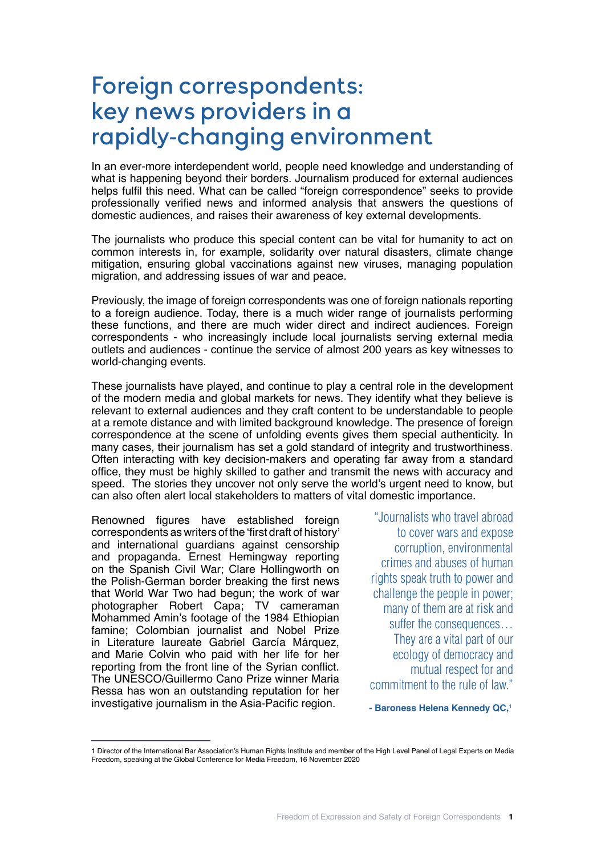# Foreign correspondents: key news providers in a rapidly-changing environment

In an ever-more interdependent world, people need knowledge and understanding of what is happening beyond their borders. Journalism produced for external audiences helps fulfil this need. What can be called "foreign correspondence" seeks to provide professionally verified news and informed analysis that answers the questions of domestic audiences, and raises their awareness of key external developments.

The journalists who produce this special content can be vital for humanity to act on common interests in, for example, solidarity over natural disasters, climate change mitigation, ensuring global vaccinations against new viruses, managing population migration, and addressing issues of war and peace.

Previously, the image of foreign correspondents was one of foreign nationals reporting to a foreign audience. Today, there is a much wider range of journalists performing these functions, and there are much wider direct and indirect audiences. Foreign correspondents - who increasingly include local journalists serving external media outlets and audiences - continue the service of almost 200 years as key witnesses to world-changing events.

These journalists have played, and continue to play a central role in the development of the modern media and global markets for news. They identify what they believe is relevant to external audiences and they craft content to be understandable to people at a remote distance and with limited background knowledge. The presence of foreign correspondence at the scene of unfolding events gives them special authenticity. In many cases, their journalism has set a gold standard of integrity and trustworthiness. Often interacting with key decision-makers and operating far away from a standard office, they must be highly skilled to gather and transmit the news with accuracy and speed. The stories they uncover not only serve the world's urgent need to know, but can also often alert local stakeholders to matters of vital domestic importance.

Renowned figures have established foreign correspondents as writers of the 'first draft of history' and international guardians against censorship and propaganda. Ernest Hemingway reporting on the Spanish Civil War; Clare Hollingworth on the Polish-German border breaking the first news that World War Two had begun; the work of war photographer Robert Capa; TV cameraman Mohammed Amin's footage of the 1984 Ethiopian famine; Colombian journalist and Nobel Prize in Literature laureate Gabriel García Márquez, and Marie Colvin who paid with her life for her reporting from the front line of the Syrian conflict. The UNESCO/Guillermo Cano Prize winner Maria Ressa has won an outstanding reputation for her investigative journalism in the Asia-Pacific region.

"Journalists who travel abroad to cover wars and expose corruption, environmental crimes and abuses of human rights speak truth to power and challenge the people in power; many of them are at risk and suffer the consequences… They are a vital part of our ecology of democracy and mutual respect for and commitment to the rule of law."

**- Baroness Helena Kennedy QC,1**

<sup>1</sup> Director of the International Bar Association's Human Rights Institute and member of the High Level Panel of Legal Experts on Media Freedom, speaking at the Global Conference for Media Freedom, 16 November 2020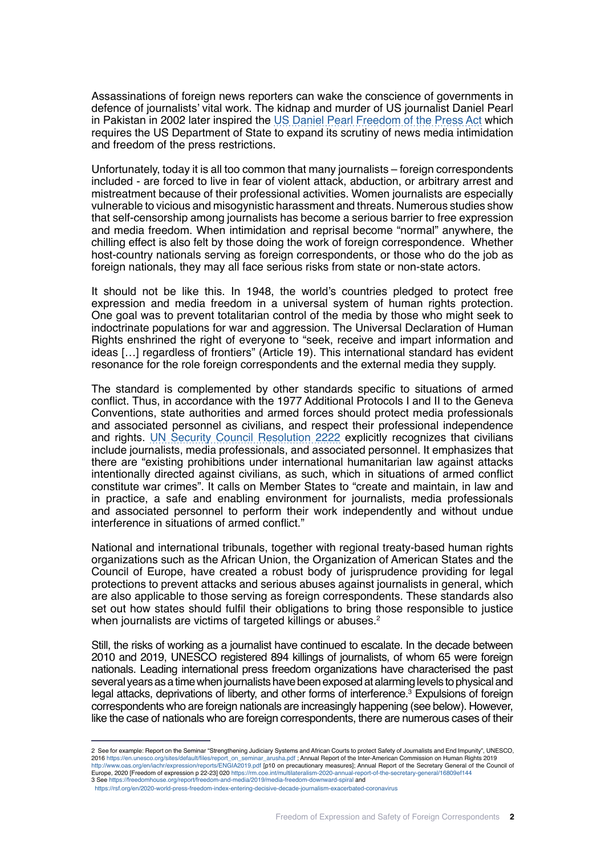Assassinations of foreign news reporters can wake the conscience of governments in defence of journalists' vital work. The kidnap and murder of US journalist Daniel Pearl in Pakistan in 2002 later inspired the [US Daniel Pearl Freedom of the Press Act](https://www.govtrack.us/congress/bills/111/hr3714/summary) which requires the US Department of State to expand its scrutiny of news media intimidation and freedom of the press restrictions.

Unfortunately, today it is all too common that many journalists – foreign correspondents included - are forced to live in fear of violent attack, abduction, or arbitrary arrest and mistreatment because of their professional activities. Women journalists are especially vulnerable to vicious and misogynistic harassment and threats. Numerous studies show that self-censorship among journalists has become a serious barrier to free expression and media freedom. When intimidation and reprisal become "normal" anywhere, the chilling effect is also felt by those doing the work of foreign correspondence. Whether host-country nationals serving as foreign correspondents, or those who do the job as foreign nationals, they may all face serious risks from state or non-state actors.

It should not be like this. In 1948, the world's countries pledged to protect free expression and media freedom in a universal system of human rights protection. One goal was to prevent totalitarian control of the media by those who might seek to indoctrinate populations for war and aggression. The Universal Declaration of Human Rights enshrined the right of everyone to "seek, receive and impart information and ideas […] regardless of frontiers" (Article 19). This international standard has evident resonance for the role foreign correspondents and the external media they supply.

The standard is complemented by other standards specific to situations of armed conflict. Thus, in accordance with the 1977 Additional Protocols I and II to the Geneva Conventions, state authorities and armed forces should protect media professionals and associated personnel as civilians, and respect their professional independence and rights. [UN Security Council Resolution 2222](http://unscr.com/en/resolutions/doc/2222) explicitly recognizes that civilians include journalists, media professionals, and associated personnel. It emphasizes that there are "existing prohibitions under international humanitarian law against attacks intentionally directed against civilians, as such, which in situations of armed conflict constitute war crimes". It calls on Member States to "create and maintain, in law and in practice, a safe and enabling environment for journalists, media professionals and associated personnel to perform their work independently and without undue interference in situations of armed conflict."

National and international tribunals, together with regional treaty-based human rights organizations such as the African Union, the Organization of American States and the Council of Europe, have created a robust body of jurisprudence providing for legal protections to prevent attacks and serious abuses against journalists in general, which are also applicable to those serving as foreign correspondents. These standards also set out how states should fulfil their obligations to bring those responsible to justice when journalists are victims of targeted killings or abuses.<sup>2</sup>

Still, the risks of working as a journalist have continued to escalate. In the decade between 2010 and 2019, UNESCO registered 894 killings of journalists, of whom 65 were foreign nationals. Leading international press freedom organizations have characterised the past several years as a time when journalists have been exposed at alarming levels to physical and legal attacks, deprivations of liberty, and other forms of interference.<sup>3</sup> Expulsions of foreign correspondents who are foreign nationals are increasingly happening (see below). However, like the case of nationals who are foreign correspondents, there are numerous cases of their

<sup>2</sup> See for example: Report on the Seminar "Strengthening Judiciary Systems and African Courts to protect Safety of Journalists and End Impunity", UNESCO, 2016 https://en.unesco.org/sites/default/files/report\_on\_seminar\_arusha.pdf ; Annual Report of the Inter-American Commission on Human Rights 2019 http://www.oas.org/en/iachr/expression/reports/ENGIA2019.pdf [p10 on precautionary measures]; Annual Report of the Secretary General of the Council of Europe, 2020 [Freedom of expression p 22-23] 020 https://rm.coe.int/multilateralism-2020-annual-report-of-the-secretary-general/16809ef144<br>3 See https://freedomhouse.org/report/freedom-and-media/2019/media-freedom-downward

https://rsf.org/en/2020-world-press-freedom-index-entering-decisive-decade-journalism-exacerbated-coronavirus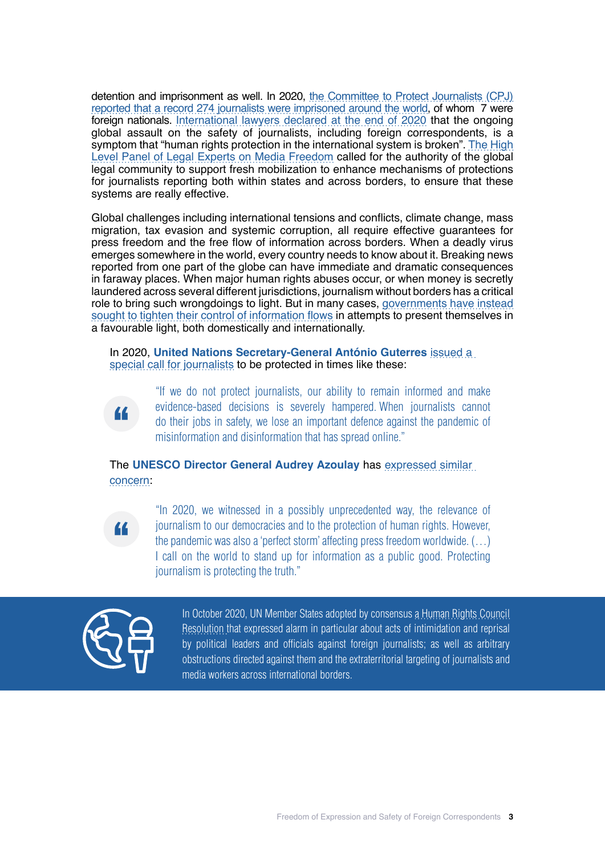detention and imprisonment as well. In 2020, [the Committee to Protect Journalists \(CPJ\)](https://cpj.org/reports/2020/12/record-number-journalists-jailed-imprisoned/) [reported that a record 274 journalists were imprisoned around the world,](https://cpj.org/reports/2020/12/record-number-journalists-jailed-imprisoned/) of whom 7 were foreign nationals. [International lawyers declared at the end of 2020](https://www.ibanet.org/VirtuallyTogether-weekly-news-4) that the ongoing global assault on the safety of journalists, including foreign correspondents, is a symptom that "human rights protection in the international system is broken". [The High](https://www.ibanet.org/Consular-Support-report-launch-2020.aspx) [Level Panel of Legal Experts on Media Freedom](https://www.ibanet.org/Consular-Support-report-launch-2020.aspx) called for the authority of the global legal community to support fresh mobilization to enhance mechanisms of protections for journalists reporting both within states and across borders, to ensure that these systems are really effective.

Global challenges including international tensions and conflicts, climate change, mass migration, tax evasion and systemic corruption, all require effective guarantees for press freedom and the free flow of information across borders. When a deadly virus emerges somewhere in the world, every country needs to know about it. Breaking news reported from one part of the globe can have immediate and dramatic consequences in faraway places. When major human rights abuses occur, or when money is secretly laundered across several different jurisdictions, journalism without borders has a critical role to bring such wrongdoings to light. But in many cases, [governments have instead](https://www.ibanet.org/Human_Rights_Institute/Bulletins/IBAHRI-Survey-Impact-of-Covid-Measures-Results.aspx) [sought to tighten their control of information flows](https://www.ibanet.org/Human_Rights_Institute/Bulletins/IBAHRI-Survey-Impact-of-Covid-Measures-Results.aspx) in attempts to present themselves in a favourable light, both domestically and internationally.

In 2020, **United Nations Secretary-General António Guterres** [issued a](https://www.un.org/en/observances/end-impunity-crimes-against-journalists  )  [special call for journalists](https://www.un.org/en/observances/end-impunity-crimes-against-journalists  ) to be protected in times like these:



"If we do not protect journalists, our ability to remain informed and make evidence-based decisions is severely hampered. When journalists cannot do their jobs in safety, we lose an important defence against the pandemic of misinformation and disinformation that has spread online."

The **UNESCO Director General Audrey Azoulay** has [expressed similar](https://en.unesco.org/news/unesco-highlights-fragility-press-freedom-face-covid-19-2020)  [concern](https://en.unesco.org/news/unesco-highlights-fragility-press-freedom-face-covid-19-2020):



"In 2020, we witnessed in a possibly unprecedented way, the relevance of journalism to our democracies and to the protection of human rights. However, the pandemic was also a 'perfect storm' affecting press freedom worldwide. (…) I call on the world to stand up for information as a public good. Protecting journalism is protecting the truth."



In October 2020, UN Member States adopted by consensus [a Human Rights Council](https://undocs.org/en/A/HRC/RES/45/18)  [Resolution](https://undocs.org/en/A/HRC/RES/45/18) that expressed alarm in particular about acts of intimidation and reprisal by political leaders and officials against foreign journalists; as well as arbitrary obstructions directed against them and the extraterritorial targeting of journalists and media workers across international borders.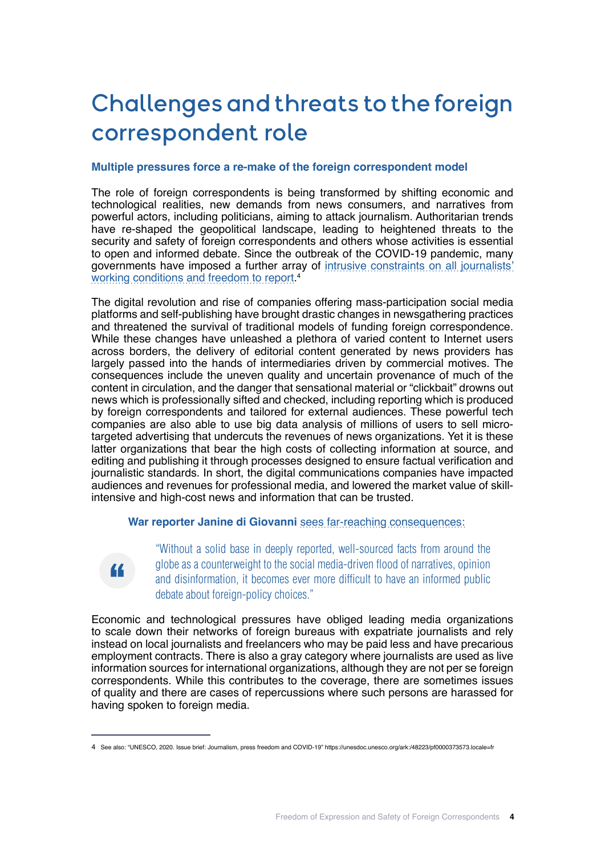# Challenges and threats to the foreign correspondent role

### **Multiple pressures force a re-make of the foreign correspondent model**

The role of foreign correspondents is being transformed by shifting economic and technological realities, new demands from news consumers, and narratives from powerful actors, including politicians, aiming to attack journalism. Authoritarian trends have re-shaped the geopolitical landscape, leading to heightened threats to the security and safety of foreign correspondents and others whose activities is essential to open and informed debate. Since the outbreak of the COVID-19 pandemic, many governments have imposed a further array of [intrusive constraints on all journalists'](https://ipi.media/covid-19-tracker-in-graphics/) [working conditions and freedom to report](https://ipi.media/covid-19-tracker-in-graphics/). 4

The digital revolution and rise of companies offering mass-participation social media platforms and self-publishing have brought drastic changes in newsgathering practices and threatened the survival of traditional models of funding foreign correspondence. While these changes have unleashed a plethora of varied content to Internet users across borders, the delivery of editorial content generated by news providers has largely passed into the hands of intermediaries driven by commercial motives. The consequences include the uneven quality and uncertain provenance of much of the content in circulation, and the danger that sensational material or "clickbait" drowns out news which is professionally sifted and checked, including reporting which is produced by foreign correspondents and tailored for external audiences. These powerful tech companies are also able to use big data analysis of millions of users to sell microtargeted advertising that undercuts the revenues of news organizations. Yet it is these latter organizations that bear the high costs of collecting information at source, and editing and publishing it through processes designed to ensure factual verification and journalistic standards. In short, the digital communications companies have impacted audiences and revenues for professional media, and lowered the market value of skillintensive and high-cost news and information that can be trusted.

# **War reporter Janine di Giovanni** [sees far-reaching consequences:](https://foreignpolicy.com/2021/01/15/history-foreign-correspondents-media-press-journalism-war-reporting-photography/ )



"Without a solid base in deeply reported, well-sourced facts from around the globe as a counterweight to the social media-driven flood of narratives, opinion and disinformation, it becomes ever more difficult to have an informed public debate about foreign-policy choices."

Economic and technological pressures have obliged leading media organizations to scale down their networks of foreign bureaus with expatriate journalists and rely instead on local journalists and freelancers who may be paid less and have precarious employment contracts. There is also a gray category where journalists are used as live information sources for international organizations, although they are not per se foreign correspondents. While this contributes to the coverage, there are sometimes issues of quality and there are cases of repercussions where such persons are harassed for having spoken to foreign media.

<sup>4</sup> See also: "UNESCO, 2020. Issue brief: Journalism, press freedom and COVID-19" https://unesdoc.unesco.org/ark:/48223/pf0000373573.locale=fr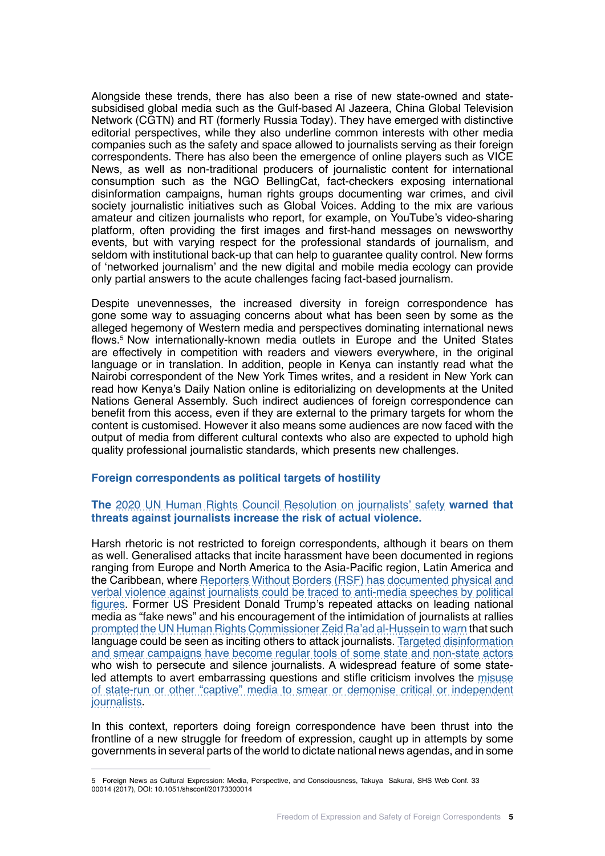Alongside these trends, there has also been a rise of new state-owned and statesubsidised global media such as the Gulf-based Al Jazeera, China Global Television Network (CGTN) and RT (formerly Russia Today). They have emerged with distinctive editorial perspectives, while they also underline common interests with other media companies such as the safety and space allowed to journalists serving as their foreign correspondents. There has also been the emergence of online players such as VICE News, as well as non-traditional producers of journalistic content for international consumption such as the NGO BellingCat, fact-checkers exposing international disinformation campaigns, human rights groups documenting war crimes, and civil society journalistic initiatives such as Global Voices. Adding to the mix are various amateur and citizen journalists who report, for example, on YouTube's video-sharing platform, often providing the first images and first-hand messages on newsworthy events, but with varying respect for the professional standards of journalism, and seldom with institutional back-up that can help to guarantee quality control. New forms of 'networked journalism' and the new digital and mobile media ecology can provide only partial answers to the acute challenges facing fact-based journalism.

Despite unevennesses, the increased diversity in foreign correspondence has gone some way to assuaging concerns about what has been seen by some as the alleged hegemony of Western media and perspectives dominating international news flows.5 Now internationally-known media outlets in Europe and the United States are effectively in competition with readers and viewers everywhere, in the original language or in translation. In addition, people in Kenya can instantly read what the Nairobi correspondent of the New York Times writes, and a resident in New York can read how Kenya's Daily Nation online is editorializing on developments at the United Nations General Assembly. Such indirect audiences of foreign correspondence can benefit from this access, even if they are external to the primary targets for whom the content is customised. However it also means some audiences are now faced with the output of media from different cultural contexts who also are expected to uphold high quality professional journalistic standards, which presents new challenges.

### **Foreign correspondents as political targets of hostility**

### **The** 2020 [UN Human Rights Council Resolution on journalists' safety](https://undocs.org/A/HRC/45/L.42/Rev.1) **warned that threats against journalists increase the risk of actual violence.**

Harsh rhetoric is not restricted to foreign correspondents, although it bears on them as well. Generalised attacks that incite harassment have been documented in regions ranging from Europe and North America to the Asia-Pacific region, Latin America and the Caribbean, where [Reporters Without Borders \(RSF\) has documented physical and](https://rsf.org/en/2019-world-press-freedom-index-cycle-fear#:~:text=The%202019%20World%20Press%20Freedom%2cto%20an%20increase%20in%20fear) [verbal violence against journalists could be traced to anti-media speeches by political](https://rsf.org/en/2019-world-press-freedom-index-cycle-fear#:~:text=The%202019%20World%20Press%20Freedom%2cto%20an%20increase%20in%20fear) [figures](https://rsf.org/en/2019-world-press-freedom-index-cycle-fear#:~:text=The%202019%20World%20Press%20Freedom%2cto%20an%20increase%20in%20fear). Former US President Donald Trump's repeated attacks on leading national media as "fake news" and his encouragement of the intimidation of journalists at rallies [prompted the UN Human Rights Commissioner Zeid Ra'ad al-Hussein to warn](https://www.reuters.com/article/us-usa-trump-un-rights-idUSKCN1BA1B6) that such language could be seen as inciting others to attack journalists. [Targeted disinformation](https://digitallibrary.un.org/record/3826999) [and smear campaigns have become regular tools of some state and non-state actors](https://digitallibrary.un.org/record/3826999) who wish to persecute and silence journalists. A widespread feature of some stateled attempts to avert embarrassing questions and stifle criticism involves the [misuse](https://reutersinstitute.politics.ox.ac.uk/fighting-words-journalism-under-assault-central-and-eastern-europe) [of state-run or other "captive" media to smear or demonise critical or independent](https://reutersinstitute.politics.ox.ac.uk/fighting-words-journalism-under-assault-central-and-eastern-europe) [journalists.](https://reutersinstitute.politics.ox.ac.uk/fighting-words-journalism-under-assault-central-and-eastern-europe)

In this context, reporters doing foreign correspondence have been thrust into the frontline of a new struggle for freedom of expression, caught up in attempts by some governments in several parts of the world to dictate national news agendas, and in some

<sup>5</sup> Foreign News as Cultural Expression: Media, Perspective, and Consciousness, Takuya Sakurai, SHS Web Conf. 33 00014 (2017), DOI: 10.1051/shsconf/20173300014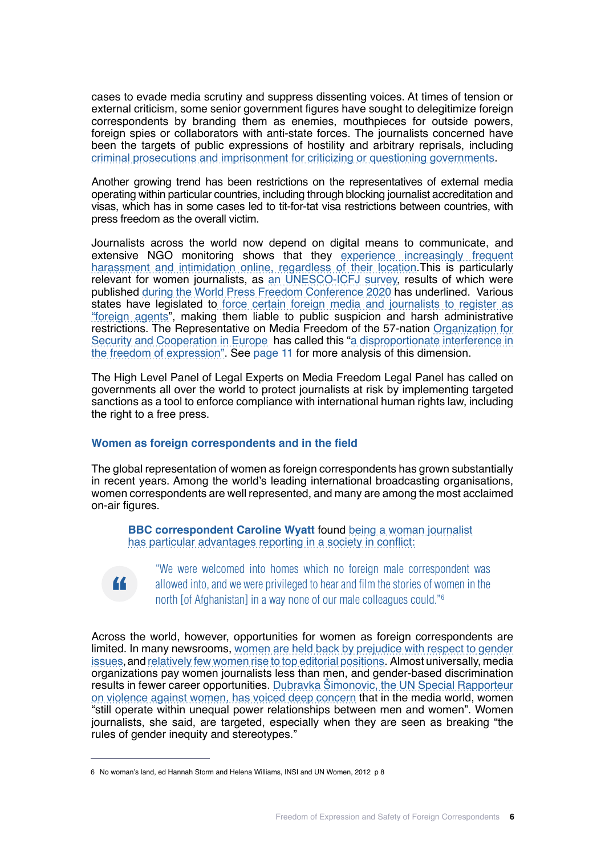cases to evade media scrutiny and suppress dissenting voices. At times of tension or external criticism, some senior government figures have sought to delegitimize foreign correspondents by branding them as enemies, mouthpieces for outside powers, foreign spies or collaborators with anti-state forces. The journalists concerned have been the targets of public expressions of hostility and arbitrary reprisals, including [criminal prosecutions and imprisonment for criticizing or questioning governments](https://www.ibanet.org/Human_Rights_Institute/Bulletins/IBAHRI-Survey-Impact-of-Covid-Measures-Results.aspx).

Another growing trend has been restrictions on the representatives of external media operating within particular countries, including through blocking journalist accreditation and visas, which has in some cases led to tit-for-tat visa restrictions between countries, with press freedom as the overall victim.

Journalists across the world now depend on digital means to communicate, and extensive NGO monitoring shows that they [experience increasingly frequent](https://digitallibrary.un.org/record/3826999) [harassment and intimidation online, regardless of their location.](https://digitallibrary.un.org/record/3826999)This is particularly relevant for women journalists, as [an UNESCO-ICFJ survey,](https://unesdoc.unesco.org/ark:/48223/pf0000375136.locale=fr) results of which were published [during the World Press Freedom Conference 2020](https://en.unesco.org/themes/safety-journalists/women-journalists/global-survey-results) has underlined. Various states have legislated to [force certain foreign media and journalists to register as](https://cpj.org/2019/07/several-foreign-news-outlets-required-to-register/ ) ["foreign agents"](https://cpj.org/2019/07/several-foreign-news-outlets-required-to-register/ ), making them liable to public suspicion and harsh administrative restrictions. The Representative on Media Freedom of the 57-nation [Organization for](https://www.osce.org/representative-on-freedom-of-media/439658) [Security and Cooperation in Europe](https://www.osce.org/representative-on-freedom-of-media/439658) has called this "[a disproportionate interference in](https://www.osce.org/representative-on-freedom-of-media/439658) [the freedom of expression"](https://www.osce.org/representative-on-freedom-of-media/439658). See page 11 for more analysis of this dimension.

The High Level Panel of Legal Experts on Media Freedom Legal Panel has called on governments all over the world to protect journalists at risk by implementing targeted sanctions as a tool to enforce compliance with international human rights law, including the right to a free press.

### **Women as foreign correspondents and in the field**

The global representation of women as foreign correspondents has grown substantially in recent years. Among the world's leading international broadcasting organisations, women correspondents are well represented, and many are among the most acclaimed on-air figures.

**BBC correspondent Caroline Wyatt** found [being a woman journalist](https://newssafety.org/research-projects/no-womans-land/)  [has particular advantages reporting in a society in conflict:](https://newssafety.org/research-projects/no-womans-land/)



"We were welcomed into homes which no foreign male correspondent was allowed into, and we were privileged to hear and film the stories of women in the north [of Afghanistan] in a way none of our male colleagues could."<sup>6</sup>

Across the world, however, opportunities for women as foreign correspondents are limited. In many newsrooms, [women are held back by prejudice with respect to gender](https://www.theatlantic.com/international/archive/2016/03/women-foreign-correspondents/472596/ ) [issues](https://www.theatlantic.com/international/archive/2016/03/women-foreign-correspondents/472596/ ),and [relatively few women rise to top editorial positions](https://reutersinstitute.politics.ox.ac.uk/women-and-leadership-news-media-2020-evidence-ten-markets). Almost universally, media organizations pay women journalists less than men, and gender-based discrimination results in fewer career opportunities. [Dubravka Šimonovic, the UN Special Rapporteur](https://undocs.org/en/A/HRC/44/52) [on violence against women, has voiced deep concern that in the media world,](https://undocs.org/en/A/HRC/44/52) women "still operate within unequal power relationships between men and women". Women journalists, she said, are targeted, especially when they are seen as breaking "[the](https://undocs.org/en/A/HRC/44/52 ) [rules of gender inequity and stereotypes.](https://undocs.org/en/A/HRC/44/52 )"

<sup>6</sup> No woman's land, ed Hannah Storm and Helena Williams, INSI and UN Women, 2012 p 8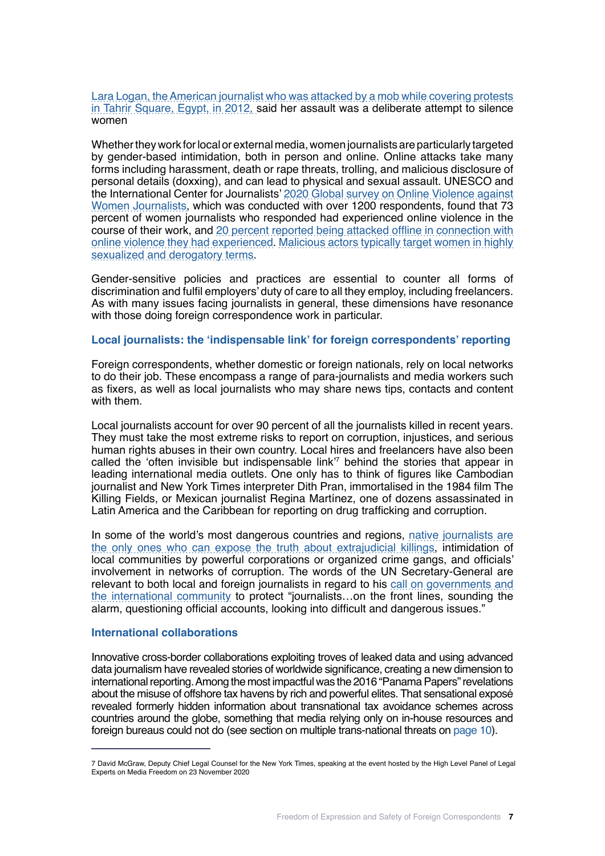[Lara Logan, the American journalist who was attacked by a mob while covering protests](https://www.smh.com.au/world/five-men-rape-journalist-22-in-tahrir-square-reports-20130702-2p8sk.html) [in Tahrir Square, Egypt, in 2012,](https://www.smh.com.au/world/five-men-rape-journalist-22-in-tahrir-square-reports-20130702-2p8sk.html) said her assault was a deliberate attempt to silence women

Whether they work for local or external media, women journalists are particularly targeted by gender-based intimidation, both in person and online. Online attacks take many forms including harassment, death or rape threats, trolling, and malicious disclosure of personal details (doxxing), and can lead to physical and sexual assault. UNESCO and the International Center for Journalists' [2020 Global survey on Online Violence against](https://unesdoc.unesco.org/ark:/48223/pf0000375136) [Women Journalists,](https://unesdoc.unesco.org/ark:/48223/pf0000375136) which was conducted with over 1200 respondents, found that 73 percent of women journalists who responded had experienced online violence in the course of their work, and [20 percent reported being attacked offline in connection with](https://en.unesco.org/news/journaliststoo-73-women-journalists-participating-unescoicfj-survey-have-experienced-online-0) [online violence they had experienced.](https://en.unesco.org/news/journaliststoo-73-women-journalists-participating-unescoicfj-survey-have-experienced-online-0) [Malicious actors typically target women in highly](https://uk.reuters.com/article/us-women-conference-harassment-trfn/women-bear-brunt-of-online-abuse-as-world-goes-digital-in-pandemic-idUSKBN27R2EL) [sexualized and derogatory terms.](https://uk.reuters.com/article/us-women-conference-harassment-trfn/women-bear-brunt-of-online-abuse-as-world-goes-digital-in-pandemic-idUSKBN27R2EL)

Gender-sensitive policies and practices are essential to counter all forms of discrimination and fulfil employers' duty of care to all they employ, including freelancers. As with many issues facing journalists in general, these dimensions have resonance with those doing foreign correspondence work in particular.

#### **Local journalists: the 'indispensable link' for foreign correspondents' reporting**

Foreign correspondents, whether domestic or foreign nationals, rely on local networks to do their job. These encompass a range of para-journalists and media workers such as fixers, as well as local journalists who may share news tips, contacts and content with them.

Local journalists account for over 90 percent of all the journalists killed in recent years. They must take the most extreme risks to report on corruption, injustices, and serious human rights abuses in their own country. Local hires and freelancers have also been called the 'often invisible but indispensable link'7 behind the stories that appear in leading international media outlets. One only has to think of figures like Cambodian journalist and New York Times interpreter Dith Pran, immortalised in the 1984 film The Killing Fields, or Mexican journalist Regina Martínez, one of dozens assassinated in Latin America and the Caribbean for reporting on drug trafficking and corruption.

In some of the world's most dangerous countries and regions, [native journalists are](http://www.oas.org/en/iachr/expression/docs/publications/zonas_silenciadas_eng.pdf) [the only ones who can expose the truth about extrajudicial killings,](http://www.oas.org/en/iachr/expression/docs/publications/zonas_silenciadas_eng.pdf) intimidation of local communities by powerful corporations or organized crime gangs, and officials' involvement in networks of corruption. The words of the UN Secretary-General are relevant to both local and foreign journalists in regard to his [call on governments and](https://www.graduateinstitute.ch/communications/news/press-freedom-and-journalists-under-attack) [the international community](https://www.graduateinstitute.ch/communications/news/press-freedom-and-journalists-under-attack) to protect "journalists…on the front lines, sounding the alarm, questioning official accounts, looking into difficult and dangerous issues."

#### **International collaborations**

Innovative cross-border collaborations exploiting troves of leaked data and using advanced data journalism have revealed stories of worldwide significance, creating a new dimension to international reporting. Among the most impactful was the 2016 "Panama Papers" revelations about the misuse of offshore tax havens by rich and powerful elites. That sensational exposé revealed formerly hidden information about transnational tax avoidance schemes across countries around the globe, something that media relying only on in-house resources and foreign bureaus could not do (see section on multiple trans-national threats on page 10).

<sup>7</sup> David McGraw, Deputy Chief Legal Counsel for the New York Times, speaking at the event hosted by the High Level Panel of Legal Experts on Media Freedom on 23 November 2020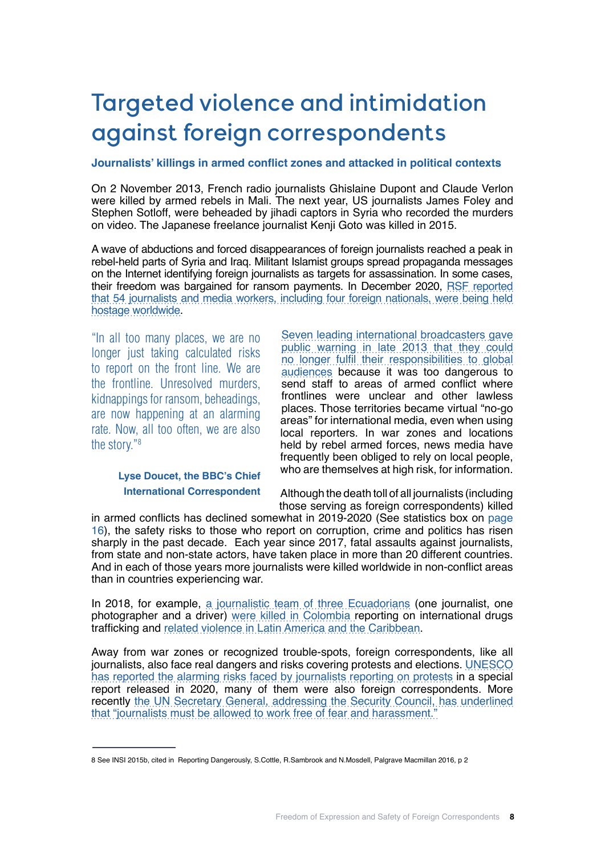# Targeted violence and intimidation against foreign correspondents

### **Journalists' killings in armed conflict zones and attacked in political contexts**

On 2 November 2013, French radio journalists Ghislaine Dupont and Claude Verlon were killed by armed rebels in Mali. The next year, US journalists James Foley and Stephen Sotloff, were beheaded by jihadi captors in Syria who recorded the murders on video. The Japanese freelance journalist Kenji Goto was killed in 2015.

A wave of abductions and forced disappearances of foreign journalists reached a peak in rebel-held parts of Syria and Iraq. Militant Islamist groups spread propaganda messages on the Internet identifying foreign journalists as targets for assassination. In some cases, their freedom was bargained for ransom payments. In December 2020, [RSF reported](https://www.bbc.co.uk/mediacentre/statements/ws-joint-broadcaster-statement)  [that 54 journalists and media workers, including four foreign nationals, were being held](https://www.bbc.co.uk/mediacentre/statements/ws-joint-broadcaster-statement)  [hostage worldwide](https://www.bbc.co.uk/mediacentre/statements/ws-joint-broadcaster-statement).

"In all too many places, we are no longer just taking calculated risks to report on the front line. We are the frontline. Unresolved murders, kidnappings for ransom, beheadings, are now happening at an alarming rate. Now, all too often, we are also the story."8

[Seven leading international broadcasters gave](https://www.bbc.co.uk/mediacentre/statements/ws-joint-broadcaster-statement)  [public warning in late 2013 that they could](https://www.bbc.co.uk/mediacentre/statements/ws-joint-broadcaster-statement)  [no longer fulfil their responsibilities to global](https://www.bbc.co.uk/mediacentre/statements/ws-joint-broadcaster-statement)  [audiences](https://www.bbc.co.uk/mediacentre/statements/ws-joint-broadcaster-statement) because it was too dangerous to send staff to areas of armed conflict where frontlines were unclear and other lawless places. Those territories became virtual "no-go areas" for international media, even when using local reporters. In war zones and locations held by rebel armed forces, news media have frequently been obliged to rely on local people, who are themselves at high risk, for information.

# **Lyse Doucet, the BBC's Chief International Correspondent**

Although the death toll of all journalists (including those serving as foreign correspondents) killed

in armed conflicts has declined somewhat in 2019-2020 (See statistics box on page 16), the safety risks to those who report on corruption, crime and politics has risen sharply in the past decade. Each year since 2017, fatal assaults against journalists, from state and non-state actors, have taken place in more than 20 different countries. And in each of those years more journalists were killed worldwide in non-conflict areas than in countries experiencing war.

In 2018, for example, [a journalistic team of three Ecuadorians](https://unesdoc.unesco.org/ark:/48223/pf0000374700.locale=en  ) (one journalist, one photographer and a driver) [were killed in Colombia](https://unesdoc.unesco.org/ark:/48223/pf0000374700.locale=en) reporting on international drugs trafficking and [related violence in Latin America and the Caribbean](https://unesdoc.unesco.org/ark:/48223/pf0000374700.locale=en).

Away from war zones or recognized trouble-spots, foreign correspondents, like all journalists, also face real dangers and risks covering protests and elections. [UNESCO](https://en.unesco.org/news/unesco-sounds-alarm-global-surge-attacks-against-journalists-covering-protests) [has reported the alarming risks faced by journalists reporting on protests](https://en.unesco.org/news/unesco-sounds-alarm-global-surge-attacks-against-journalists-covering-protests) in a special report released in 2020, many of them were also foreign correspondents. More recently [the UN Secretary General, addressing the Security Council, has underlined](https://www.un.org/sg/en/content/sg/statement/2021-05-16/secretary-generals-remarks-the-security-council-the-situation-the-middle-east-delivered)  [that "journalists must be allowed to work free of fear and harassment."](https://www.un.org/sg/en/content/sg/statement/2021-05-16/secretary-generals-remarks-the-security-council-the-situation-the-middle-east-delivered)

<sup>8</sup> See INSI 2015b, cited in Reporting Dangerously, S.Cottle, R.Sambrook and N.Mosdell, Palgrave Macmillan 2016, p 2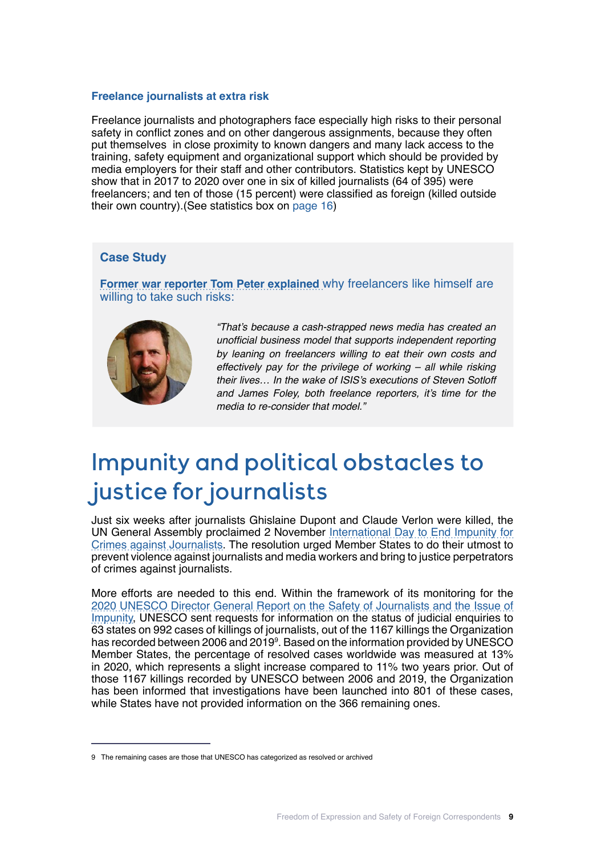### **Freelance journalists at extra risk**

Freelance journalists and photographers face especially high risks to their personal safety in conflict zones and on other dangerous assignments, because they often put themselves in close proximity to known dangers and many lack access to the training, safety equipment and organizational support which should be provided by media employers for their staff and other contributors. Statistics kept by UNESCO show that in 2017 to 2020 over one in six of killed journalists (64 of 395) were freelancers; and ten of those (15 percent) were classified as foreign (killed outside their own country).(See statistics box on page 16)

#### **Case Study**

**[Former war reporter Tom Peter explained](https://newrepublic.com/article/119313/steven-sotloff-james-foley-beheadings-expose-failed-freelancer-model   )** why freelancers like himself are willing to take such risks:



*"That's because a cash-strapped news media has created an*  unofficial business model that supports independent reporting by leaning on freelancers willing to eat their own costs and effectively pay for the privilege of working – all while risking their lives… In the wake of ISIS's executions of Steven Sotloff and James Foley, both freelance reporters, it's time for the media to re-consider that model."

# Impunity and political obstacles to justice for journalists

Just six weeks after journalists Ghislaine Dupont and Claude Verlon were killed, the UN General Assembly proclaimed 2 November [International Day to End Impunity for](https://en.unesco.org/day/endimpunity/about-idei) [Crimes against Journalists](https://en.unesco.org/day/endimpunity/about-idei). The resolution urged Member States to do their utmost to prevent violence against journalists and media workers and bring to justice perpetrators of crimes against journalists.

More efforts are needed to this end. Within the framework of its monitoring for the [2020 UNESCO Director General Report on the Safety of Journalists and the Issue of](https://unesdoc.unesco.org/ark:/48223/pf0000374738.locale=fr) [Impunity](https://unesdoc.unesco.org/ark:/48223/pf0000374738.locale=fr), UNESCO sent requests for information on the status of judicial enquiries to 63 states on 992 cases of killings of journalists, out of the 1167 killings the Organization has recorded between 2006 and 2019<sup>9</sup>. Based on the information provided by UNESCO Member States, the percentage of resolved cases worldwide was measured at 13% in 2020, which represents a slight increase compared to 11% two years prior. Out of those 1167 killings recorded by UNESCO between 2006 and 2019, the Organization has been informed that investigations have been launched into 801 of these cases, while States have not provided information on the 366 remaining ones.

<sup>9</sup> The remaining cases are those that UNESCO has categorized as resolved or archived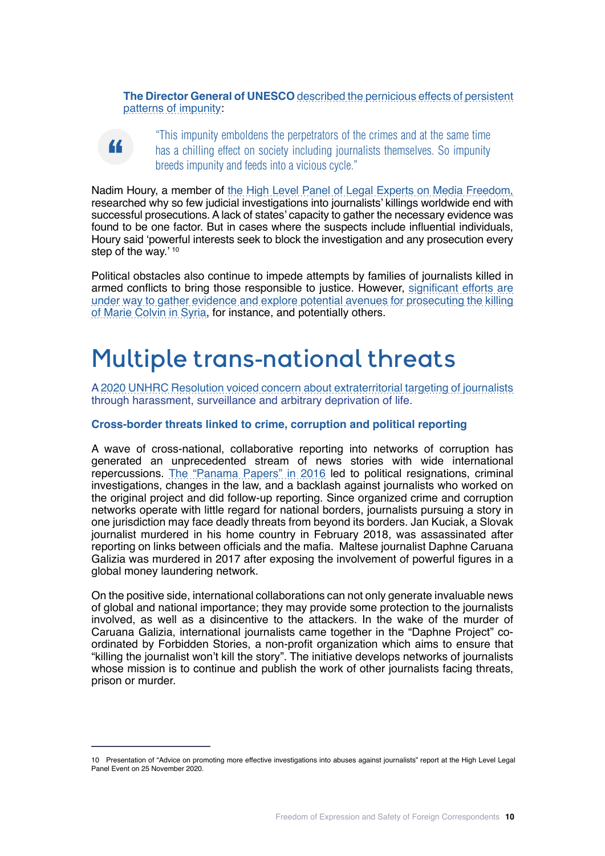**The Director General of UNESCO** [described the pernicious effects of persistent](https://en.unesco.org/day/endimpunity/about-idei) [patterns of impunity](https://en.unesco.org/day/endimpunity/about-idei):

**"**

"This impunity emboldens the perpetrators of the crimes and at the same time has a chilling effect on society including journalists themselves. So impunity breeds impunity and feeds into a vicious cycle."

Nadim Houry, a member of [the High Level Panel of Legal Experts on Media Freedom,](https://www.ibanet.org/IBAHRIsecretariat ) researched why so few judicial investigations into journalists' killings worldwide end with successful prosecutions. A lack of states' capacity to gather the necessary evidence was found to be one factor. But in cases where the suspects include influential individuals, Houry said 'powerful interests seek to block the investigation and any prosecution every step of the way.' 10

Political obstacles also continue to impede attempts by families of journalists killed in armed conflicts to bring those responsible to justice. However, [significant efforts are](https://www.washingtonpost.com/politics/2019/03/04/heres-how-perpetrators-crimes-syria-are-being-prosecuted/) [under way to gather evidence and explore potential avenues for prosecuting the killing](https://www.washingtonpost.com/politics/2019/03/04/heres-how-perpetrators-crimes-syria-are-being-prosecuted/) [of Marie Colvin in Syria](https://www.washingtonpost.com/politics/2019/03/04/heres-how-perpetrators-crimes-syria-are-being-prosecuted/), for instance, and potentially others.

# Multiple trans-national threats

A [2020 UNHRC Resolution voiced concern about extraterritorial targeting of journalists](https://undocs.org/en/A/HRC/RES/45/18 ) through harassment, surveillance and arbitrary deprivation of life.

### **Cross-border threats linked to crime, corruption and political reporting**

A wave of cross-national, collaborative reporting into networks of corruption has generated an unprecedented stream of news stories with wide international repercussions. [The "Panama Papers" in 2016](https://www.digitalnewsreport.org/publications/2019/gauging-global-impacts-panama-papers-three-years-later/#:~:text=Substantive%20outcomes,ICIJ%20investigations%20%E2%80%93%20an%20impressive%20result. ) led to political resignations, criminal investigations, changes in the law, and a backlash against journalists who worked on the original project and did follow-up reporting. Since organized crime and corruption networks operate with little regard for national borders, journalists pursuing a story in one jurisdiction may face deadly threats from beyond its borders. Jan Kuciak, a Slovak journalist murdered in his home country in February 2018, was assassinated after reporting on links between officials and the mafia. Maltese journalist Daphne Caruana Galizia was murdered in 2017 after exposing the involvement of powerful figures in a global money laundering network.

On the positive side, international collaborations can not only generate invaluable news of global and national importance; they may provide some protection to the journalists involved, as well as a disincentive to the attackers. In the wake of the murder of Caruana Galizia, international journalists came together in the "Daphne Project" coordinated by Forbidden Stories, a non-profit organization which aims to ensure that "killing the journalist won't kill the story". The initiative develops networks of journalists whose mission is to continue and publish the work of other journalists facing threats, prison or murder.

<sup>10</sup> Presentation of "Advice on promoting more effective investigations into abuses against journalists" report at the High Level Legal Panel Event on 25 November 2020.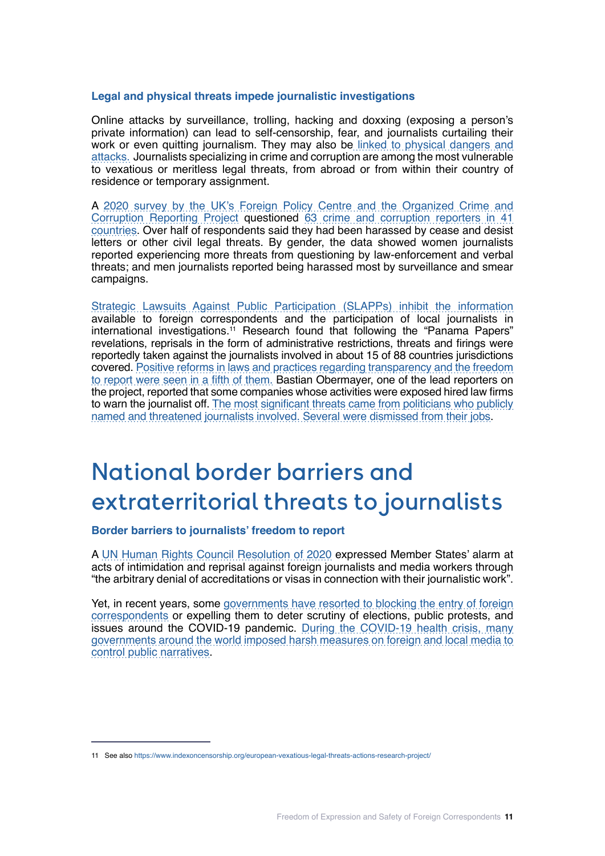### **Legal and physical threats impede journalistic investigations**

Online attacks by surveillance, trolling, hacking and doxxing (exposing a person's private information) can lead to self-censorship, fear, and journalists curtailing their work or even quitting journalism. They may also be [linked to physical dangers and](https://unesdoc.unesco.org/ark:/48223/pf0000371487?fbclid=IwAR2FAIrs5INt5ibUb_gHxfNYaFEzTYlTbMeEob8ZjXfjbDFAlI1ad8vHAgk ) [attacks.](https://unesdoc.unesco.org/ark:/48223/pf0000371487?fbclid=IwAR2FAIrs5INt5ibUb_gHxfNYaFEzTYlTbMeEob8ZjXfjbDFAlI1ad8vHAgk ) Journalists specializing in crime and corruption are among the most vulnerable to vexatious or meritless legal threats, from abroad or from within their country of residence or temporary assignment.

A [2020 survey by the UK's Foreign Policy Centre and the Organized Crime and](https://fpc.org.uk/publications/unsafe-for-scrutiny/  ) [Corruption Reporting Project](https://fpc.org.uk/publications/unsafe-for-scrutiny/  ) questioned [63 crime and corruption reporters in 41](https://fpc.org.uk/wp-content/uploads/2020/11/Unsafe-for-Scrutiny-November-2020.pdf  ) [countries.](https://fpc.org.uk/wp-content/uploads/2020/11/Unsafe-for-Scrutiny-November-2020.pdf  ) Over half of respondents said they had been harassed by cease and desist letters or other civil legal threats. By gender, the data showed women journalists reported experiencing more threats from questioning by law-enforcement and verbal threats; and men journalists reported being harassed most by surveillance and smear campaigns.

[Strategic Lawsuits Against Public Participation \(SLAPPs\) inhibit the information](https://fpc.org.uk/the-increasing-rise-and-impact-of-slapps-strategic-lawsuits-against-public-participation/) available to foreign correspondents and the participation of local journalists in international investigations.<sup>11</sup> Research found that following the "Panama Papers" revelations, reprisals in the form of administrative restrictions, threats and firings were reportedly taken against the journalists involved in about 15 of 88 countries jurisdictions covered. [Positive reforms in laws and practices regarding transparency and the freedom](https://www.digitalnewsreport.org/publications/2019/gauging-global-impacts-panama-papers-three-years-later/) [to report were seen in a fifth of them.](https://www.digitalnewsreport.org/publications/2019/gauging-global-impacts-panama-papers-three-years-later/) Bastian Obermayer, one of the lead reporters on the project, reported that some companies whose activities were exposed hired law firms to warn the journalist off. [The most significant threats came from politicians who publicly](https://www.europarl.europa.eu/cmsdata/109784/FAQ_F%20Obermaier_B%20Obermayer_%20PanamaPapers.pdf) [named and threatened journalists involved. Several were dismissed from their jobs.](https://www.europarl.europa.eu/cmsdata/109784/FAQ_F%20Obermaier_B%20Obermayer_%20PanamaPapers.pdf)

# National border barriers and extraterritorial threats to journalists

### **Border barriers to journalists' freedom to report**

A [UN Human Rights Council Resolution of 2020](https://undocs.org/en/A/HRC/RES/45/18 ) expressed Member States' alarm at acts of intimidation and reprisal against foreign journalists and media workers through "the arbitrary denial of accreditations or visas in connection with their journalistic work".

Yet, in recent years, some [governments have resorted to blocking the entry of foreign](https://www.ft.com/content/b1bd2aec-e333-11e8-8e70-5e22a430c1ad) [correspondents](https://www.ft.com/content/b1bd2aec-e333-11e8-8e70-5e22a430c1ad) or expelling them to deter scrutiny of elections, public protests, and issues around the COVID-19 pandemic. [During the COVID-19 health crisis, many](https://www.international.gc.ca/campaign-campagne/media_freedom-liberte_presse-2020/policy_paper-documents_orientation-covid-19.aspx?lang=eng  ) [governments around the world imposed harsh measures on foreign and local media to](https://www.international.gc.ca/campaign-campagne/media_freedom-liberte_presse-2020/policy_paper-documents_orientation-covid-19.aspx?lang=eng  ) [control public narratives](https://www.international.gc.ca/campaign-campagne/media_freedom-liberte_presse-2020/policy_paper-documents_orientation-covid-19.aspx?lang=eng  ).

<sup>11</sup> See also https://www.indexoncensorship.org/european-vexatious-legal-threats-actions-research-project/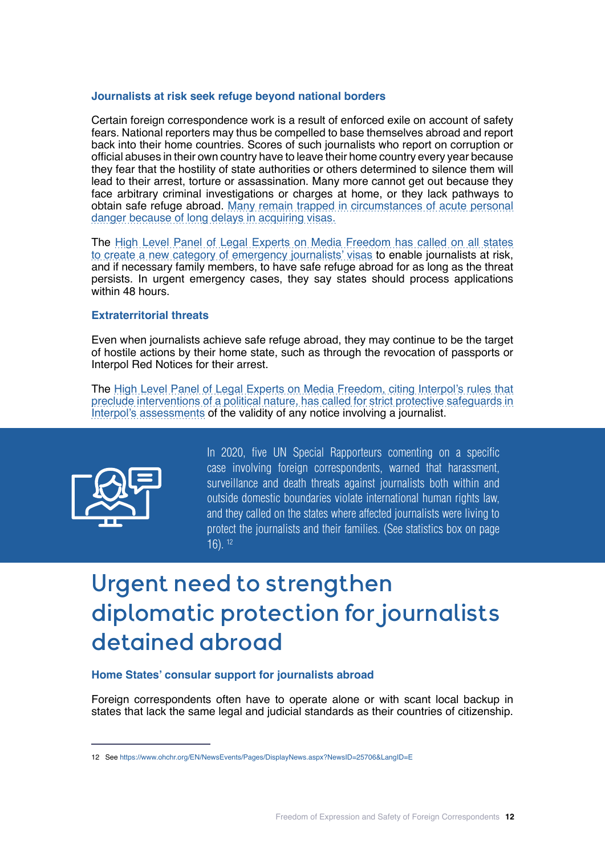#### **Journalists at risk seek refuge beyond national borders**

Certain foreign correspondence work is a result of enforced exile on account of safety fears. National reporters may thus be compelled to base themselves abroad and report back into their home countries. Scores of such journalists who report on corruption or official abuses in their own country have to leave their home country every year because they fear that the hostility of state authorities or others determined to silence them will lead to their arrest, torture or assassination. Many more cannot get out because they face arbitrary criminal investigations or charges at home, or they lack pathways to obtain safe refuge abroad. Many remain trapped in circumstances of acute personal danger because of [long delays in acquiring visas](https://www.ibanet.org/MediaHandler?id=E1971BEB-58A0-4AD7-BC37-203DC9B604AD ).

The [High Level Panel of Legal Experts on Media Freedom has called on all states](https://www.ibanet.org/MediaHandler?id=E1971BEB-58A0-4AD7-BC37-203DC9B604AD) [to create a new category of emergency journalists' visas](https://www.ibanet.org/MediaHandler?id=E1971BEB-58A0-4AD7-BC37-203DC9B604AD) to enable journalists at risk, and if necessary family members, to have safe refuge abroad for as long as the threat persists. In urgent emergency cases, they say [states should process applications](https://www.ibanet.org/MediaHandler?id=E1971BEB-58A0-4AD7-BC37-203DC9B604AD) [within 48 hours.](https://www.ibanet.org/MediaHandler?id=E1971BEB-58A0-4AD7-BC37-203DC9B604AD)

#### **Extraterritorial threats**

Even when journalists achieve safe refuge abroad, they may continue to be the target of hostile actions by their home state, such as through the revocation of passports or Interpol Red Notices for their arrest.

The [High Level Panel of Legal Experts on Media Freedom, citing Interpol's rules that](https://www.ibanet.org/MediaHandler?id=E1971BEB-58A0-4AD7-BC37-203DC9B604AD) [preclude interventions of a political nature, has called for strict protective safeguards in](https://www.ibanet.org/MediaHandler?id=E1971BEB-58A0-4AD7-BC37-203DC9B604AD) [Interpol's assessments](https://www.ibanet.org/MediaHandler?id=E1971BEB-58A0-4AD7-BC37-203DC9B604AD) of the validity of any notice involving a journalist.



In 2020, five UN Special Rapporteurs comenting on a specific case involving foreign correspondents, warned that harassment, surveillance and death threats against journalists both within and outside domestic boundaries violate international human rights law, and they called on the states where affected journalists were living to protect the journalists and their families. (See statistics box on page 16). 12

# Urgent need to strengthen diplomatic protection for journalists detained abroad

### **Home States' consular support for journalists abroad**

Foreign correspondents often have to operate alone or with scant local backup in states that lack the same legal and judicial standards as their countries of citizenship.

<sup>12</sup> See https://www.ohchr.org/EN/NewsEvents/Pages/DisplayNews.aspx?NewsID=25706&LangID=E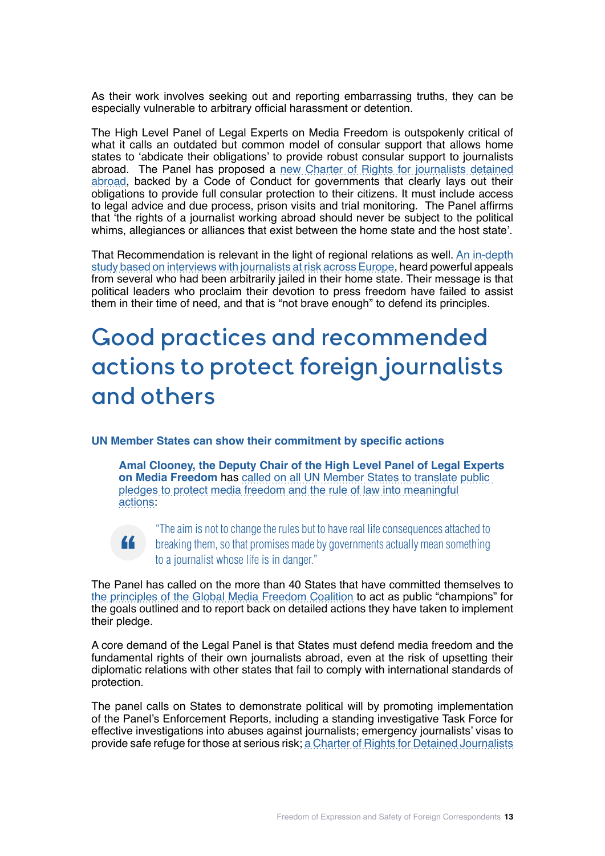As their work involves seeking out and reporting embarrassing truths, they can be especially vulnerable to arbitrary official harassment or detention.

The High Level Panel of Legal Experts on Media Freedom is outspokenly critical of what it calls an outdated but common model of consular support that allows home states to 'abdicate their obligations' to provide robust consular support to journalists abroad. The Panel has proposed a [new Charter of Rights for journalists detained](https://www.ibanet.org/Consular-Support-report-launch-2020) [abroad](https://www.ibanet.org/Consular-Support-report-launch-2020), backed by a Code of Conduct for governments that clearly lays out their obligations to provide full consular protection to their citizens. It must include access to legal advice and due process, prison visits and trial monitoring. The Panel affirms that 'the rights of a journalist working abroad should never be subject to the political whims, allegiances or alliances that exist between the home state and the host state'.

That Recommendation is relevant in the light of regional relations as well. [An in-depth](https://rm.coe.int/prems-021220-gbr-2018-a-mission-to-inform-journalists-at-risk-speak-ou/16809ff1e2 ) [study based on interviews with journalists at risk across Europe](https://rm.coe.int/prems-021220-gbr-2018-a-mission-to-inform-journalists-at-risk-speak-ou/16809ff1e2 ), heard powerful appeals from several who had been arbitrarily jailed in their home state. Their message is that political leaders who proclaim their devotion to press freedom have failed to assist them in their time of need, and that is "not brave enough" to defend its principles.

# Good practices and recommended actions to protect foreign journalists and others

## **UN Member States can show their commitment by specific actions**

**"**

**Amal Clooney, the Deputy Chair of the High Level Panel of Legal Experts on Media Freedom** has [called on all UN Member States to translate](https://www.legalcheek.com/2020/11/iba-conference-amal-clooney-marks-the-end-of-regressive-leadership-and-moral-bankruptcy-of-trump-era-in-media-freedom-talk/) public [pledges to protect media freedom and the rule of law into meaningful](https://www.legalcheek.com/2020/11/iba-conference-amal-clooney-marks-the-end-of-regressive-leadership-and-moral-bankruptcy-of-trump-era-in-media-freedom-talk/)  [actions:](https://www.legalcheek.com/2020/11/iba-conference-amal-clooney-marks-the-end-of-regressive-leadership-and-moral-bankruptcy-of-trump-era-in-media-freedom-talk/)

"The aim is not to change the rules but to have real life consequences attached to breaking them, so that promises made by governments actually mean something to a journalist whose life is in danger."

The Panel has called on the more than 40 States that have committed themselves to [the principles of the Global Media Freedom Coalition](https://www.gov.uk/government/publications/media-freedom-coalition-an-overview/media-freedom-coalition-an-overview) to act as public "champions" for the goals outlined and to report back on detailed actions they have taken to implement their pledge.

A core demand of the Legal Panel is that States must defend media freedom and the fundamental rights of their own journalists abroad, even at the risk of upsetting their diplomatic relations with other states that fail to comply with international standards of protection.

The panel calls on States to demonstrate political will by promoting implementation of the Panel's Enforcement Reports, including a standing investigative Task Force for effective investigations into abuses against journalists; emergency journalists' visas to provide safe refuge for those at serious risk; [a Charter of Rights for Detained Journalists](https://www.ibanet.org/HRI-Secretariat/Reports)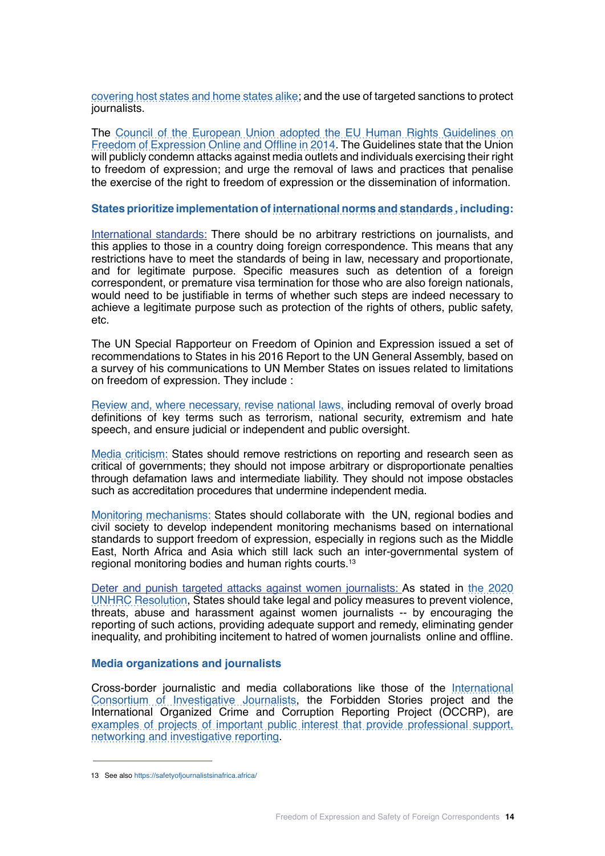[covering host states and home states alike](https://www.ibanet.org/HRI-Secretariat/Reports); and the use of targeted sanctions to protect journalists.

The [Council of the European Union adopted the EU Human Rights Guidelines on](https://www.consilium.europa.eu/media/28348/142549.pdf) [Freedom of Expression Online and Offline in 2014](https://www.consilium.europa.eu/media/28348/142549.pdf). The Guidelines state that the Union will publicly condemn attacks against media outlets and individuals exercising their right to freedom of expression; and urge the removal of laws and practices that penalise the exercise of the right to freedom of expression or the dissemination of information.

#### **States prioritize implementation of [international norms and standards ,](https://en.unesco.org/themes/safety-journalists/basic-texts ) including:**

International standards: There should be no arbitrary restrictions on journalists, and this applies to those in a country doing foreign correspondence. This means that any restrictions have to meet the standards of being in law, necessary and proportionate, and for legitimate purpose. Specific measures such as detention of a foreign correspondent, or premature visa termination for those who are also foreign nationals, would need to be justifiable in terms of whether such steps are indeed necessary to achieve a legitimate purpose such as protection of the rights of others, public safety, etc.

The UN Special Rapporteur on Freedom of Opinion and Expression issued a set of recommendations to States in his 2016 Report to the UN General Assembly, based on a survey of his communications to UN Member States on issues related to limitations on freedom of expression. They include :

[Review and, where necessary, revise national laws,](https://www.ohchr.org/EN/Issues/FreedomOpinion/Pages/ReportSRToGA2016.aspx) including removal of overly broad definitions of key terms such as terrorism, national security, extremism and hate speech, and ensure judicial or independent and public oversight.

[Media criticism:](https://www.ohchr.org/EN/Issues/FreedomOpinion/Pages/ReportSRToGA2016.aspx) States should remove restrictions on reporting and research seen as critical of governments; they should not impose arbitrary or disproportionate penalties through defamation laws and intermediate liability. They should not impose obstacles such as accreditation procedures that undermine independent media.

[Monitoring mechanisms:](https://www.ohchr.org/EN/Issues/FreedomOpinion/Pages/ReportSRToGA2016.aspx) States should collaborate with the UN, regional bodies and civil society to develop independent monitoring mechanisms based on international standards to support freedom of expression, especially in regions such as the Middle East, North Africa and Asia which still lack such an inter-governmental system of regional monitoring bodies and human rights courts.13

Deter and punish targeted attacks against women journalists: As stated in [the 2020](https://undocs.org/en/A/HRC/RES/45/18 ) [UNHRC Resolution](https://undocs.org/en/A/HRC/RES/45/18 ), States should take legal and policy measures to prevent violence, threats, abuse and harassment against women journalists -- by encouraging the reporting of such actions, providing adequate support and remedy, eliminating gender inequality, and prohibiting incitement to hatred of women journalists online and offline.

#### **Media organizations and journalists**

Cross-border journalistic and media collaborations like those of the [International](https://www.icij.org/  ) [Consortium of Investigative Journalists,](https://www.icij.org/  ) the Forbidden Stories project and the International Organized Crime and Corruption Reporting Project (OCCRP), are [examples of projects of important public interest that provide professional support,](https://blog.hostwriter.org/wp-content/uploads/2018/12/crossborderjournalism-method-final.pdf  ) [networking and investigative reporting.](https://blog.hostwriter.org/wp-content/uploads/2018/12/crossborderjournalism-method-final.pdf  )

<sup>13</sup> See also https://safetyofjournalistsinafrica.africa/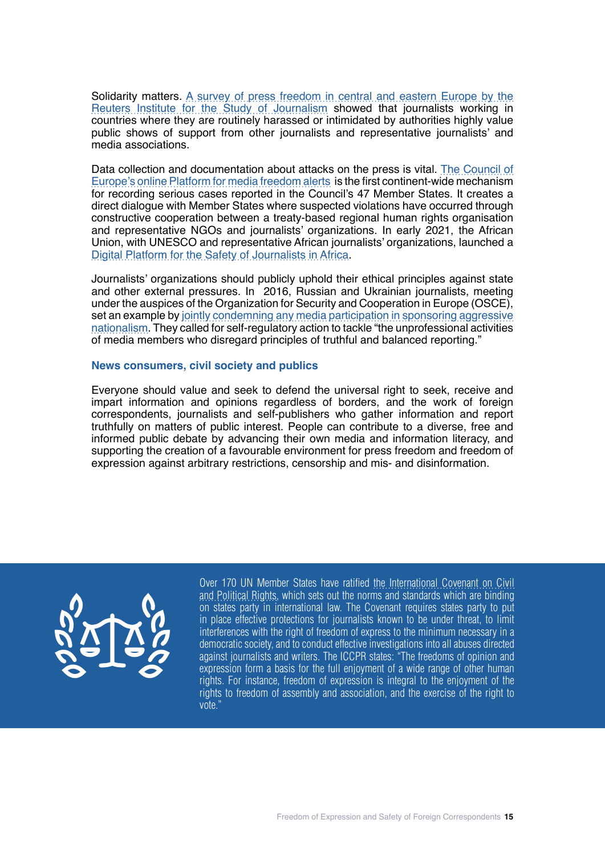Solidarity matters. [A survey of press freedom in central and eastern Europe by the](https://reutersinstitute.politics.ox.ac.uk/fighting-words-journalism-under-assault-central-and-eastern-europe) [Reuters Institute for the Study of Journalism](https://reutersinstitute.politics.ox.ac.uk/fighting-words-journalism-under-assault-central-and-eastern-europe) showed that journalists working in countries where they are routinely harassed or intimidated by authorities highly value public shows of support from other journalists and representative journalists' and media associations.

Data collection and documentation about attacks on the press is vital. [The Council of](https://www.coe.int/en/web/media-freedom  ) [Europe's online Platform for media freedom alerts](https://www.coe.int/en/web/media-freedom  ) is the first continent-wide mechanism for recording serious cases reported in the Council's 47 Member States. It creates a direct dialogue with Member States where suspected violations have occurred through constructive cooperation between a treaty-based regional human rights organisation and representative NGOs and journalists' organizations. In early 2021, the African Union, with UNESCO and representative African journalists' organizations, launched a [Digital Platform for the Safety of Journalists in Africa](https://safetyofjournalistsinafrica.africa/).

Journalists' organizations should publicly uphold their ethical principles against state and other external pressures. In 2016, Russian and Ukrainian journalists, meeting under the auspices of the Organization for Security and Cooperation in Europe (OSCE), set an example by [jointly condemning any media participation in sponsoring aggressive](https://www.osce.org/files/f/documents/0/8/226351.pdf) [nationalism](https://www.osce.org/files/f/documents/0/8/226351.pdf). They called for self-regulatory action to tackle "the unprofessional activities of media members who disregard principles of truthful and balanced reporting."

### **News consumers, civil society and publics**

Everyone should value and seek to defend the universal right to seek, receive and impart information and opinions regardless of borders, and the work of foreign correspondents, journalists and self-publishers who gather information and report truthfully on matters of public interest. People can contribute to a diverse, free and informed public debate by advancing their own media and information literacy, and supporting the creation of a favourable environment for press freedom and freedom of expression against arbitrary restrictions, censorship and mis- and disinformation.



Over 170 UN Member States have ratified [the International Covenant on Civil](https://www.refworld.org/docid/4ed34b562.html) [and Political Rights](https://www.refworld.org/docid/4ed34b562.html), which sets out the norms and standards which are binding on states party in international law. The Covenant requires states party to put in place effective protections for journalists known to be under threat, to limit interferences with the right of freedom of express to the minimum necessary in a democratic society, and to conduct effective investigations into all abuses directed against journalists and writers. The ICCPR states: "The freedoms of opinion and expression form a basis for the full enjoyment of a wide range of other human rights. For instance, freedom of expression is integral to the enjoyment of the rights to freedom of assembly and association, and the exercise of the right to vote."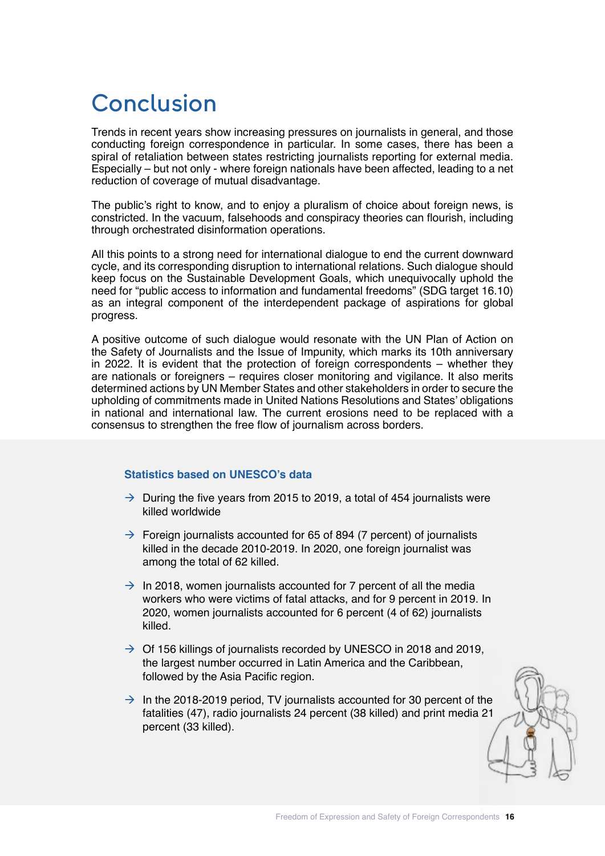# Conclusion

Trends in recent years show increasing pressures on journalists in general, and those conducting foreign correspondence in particular. In some cases, there has been a spiral of retaliation between states restricting journalists reporting for external media. Especially – but not only - where foreign nationals have been affected, leading to a net reduction of coverage of mutual disadvantage.

The public's right to know, and to enjoy a pluralism of choice about foreign news, is constricted. In the vacuum, falsehoods and conspiracy theories can flourish, including through orchestrated disinformation operations.

All this points to a strong need for international dialogue to end the current downward cycle, and its corresponding disruption to international relations. Such dialogue should keep focus on the Sustainable Development Goals, which unequivocally uphold the need for "public access to information and fundamental freedoms" (SDG target 16.10) as an integral component of the interdependent package of aspirations for global progress.

A positive outcome of such dialogue would resonate with the UN Plan of Action on the Safety of Journalists and the Issue of Impunity, which marks its 10th anniversary in 2022. It is evident that the protection of foreign correspondents – whether they are nationals or foreigners – requires closer monitoring and vigilance. It also merits determined actions by UN Member States and other stakeholders in order to secure the upholding of commitments made in United Nations Resolutions and States' obligations in national and international law. The current erosions need to be replaced with a consensus to strengthen the free flow of journalism across borders.

# **Statistics based on UNESCO's data**

- $\rightarrow$  During the five years from 2015 to 2019, a total of 454 journalists were killed worldwide
- $\rightarrow$  Foreign journalists accounted for 65 of 894 (7 percent) of journalists killed in the decade 2010-2019. In 2020, one foreign journalist was among the total of 62 killed.
- $\rightarrow$  In 2018, women journalists accounted for 7 percent of all the media workers who were victims of fatal attacks, and for 9 percent in 2019. In 2020, women journalists accounted for 6 percent (4 of 62) journalists killed.
- $\rightarrow$  Of 156 killings of journalists recorded by UNESCO in 2018 and 2019, the largest number occurred in Latin America and the Caribbean, followed by the Asia Pacific region.
- $\rightarrow$  In the 2018-2019 period, TV journalists accounted for 30 percent of the fatalities (47), radio journalists 24 percent (38 killed) and print media 21 percent (33 killed).